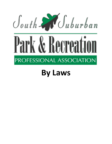

# **By Laws**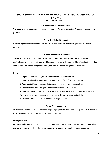# **SOUTH SUBURBAN PARK AND RECREATION PROFESSIONAL ASSOCIATION BY-LAWS**

LAST REVISED 06/30/21

## **Article I - Name of the organization**

The name of the organization shall be South Suburban Park and Recreation Professional Association (SSPRPA).

# **Article II - Mission Statement**

Working together to serve members who provide communities with quality park and recreation services.

#### **Article III - Statement of Purpose**

SSPRPA is an association comprised of park, recreation, conservation, and special recreation professionals, students and citizens, working together to serve the communities of the South Suburban Chicagoland area by providing better parks, facilities, recreation programs, and services.

# **Goals**

- 1. To provide professional growth and development opportunities
- 2. To effectively deliver information pertinent to the field of parks and recreation
- 3. To conduct efficient meetings that respect time and add value to members
- 4. To encourage a welcoming environment for all members and guests
- 5. To provide a committee structure within the membership that encourages service to the
- Association, and growth to the membership and the park and recreation field
- 6. To advocate for and educate members on legislative issues

## **Article IV – Membership**

All memberships shall be a one year term, beginning September 1 and ending August 31. A member in good standing is defined as a member whose dues are paid.

# **Voting Members**

Any individual who is employed in a public, semi-private, private, charitable organization or any other agency, organization and/or educational institution whose primary goal is to advance park and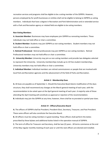recreation services and programs shall be eligible to be a voting member of the SSPRPA. However, persons employed by for-profit businesses or entities shall not be eligible to belong to SSPRPA as voting members. Individuals that have a degree in Recreation and Park Administration and or extended service with a Park and Recreation agency or related field are eligible to be voting members.

#### **Non-Voting Members**

**A. Associate Member:** Businesses may have employees join SSPRPA as nonvoting members. These individuals may not hold office or chair a committee.

**B. Student Member:** Students may join SSPRPA as non-voting members. Student members may not hold office or chair a committee.

**C. Retired Professional**: Retired professionals may join SSPRPA as non-voting members. Retired Professional members may not hold office or chair a committee.

**D. University Member:** University may join as non-voting members and provide two delegates selected to represent the University. University memberships include up to 10 free student memberships. University members may not hold office or chair a committee.

**E. Individual Member:** Individual members are retired commissioners or people that are involved with local Park and Recreation agencies and the advancement of the field of Parks and Recreation.

#### **Article V - Membership Dues**

**A.** All dues are payable as of September 1. Should the Executive Board desire modification of the dues structure, they shall recommend any changes at the March general meeting of each year, with the recommendation to be voted upon at the April general meeting of each year. A majority vote of those attending the April meeting will constitute as approval or rejection of the recommendation. **B.** Individuals may join the SSPRPA at any time; however, there shall be no prorated or partial-year dues.

## **Article VI - Officers/Executive Board**

**A.** The officers of SSPRPA shall be President, President-Elect, Secretary, Treasurer, and Past President. These same officers will also constitute the Executive Board.

**B.** All officers must be voting members in good standing. These officers shall perform the duties prescribed by these bylaws and additional duties listed in the operation manual of SSPRPA.

**C.** The term of office for Treasurer and Secretary, shall be two (2) years. All terms commence at the end of the May regular monthly meeting of each year or until the next officers are elected and installed.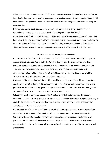Officers may not serve more than two (2) full terms consecutively in each executive board position. An incumbent officer may run for another executive board position consecutively but must wait one (1) full term before holding the same position. Past Presidents must wait one (1) full year before running for President Elect.

**D.** Three members of the Executive Board present in person shall constitute a quorum for the transaction of business at any in person or virtual meeting of the Executive Board.

E. If a member serving on the Executive Board accepts a position at a new agency they will be required to obtain written permission from their immediate supervisor stating the agency's support and allowing them to continue in their current capacity to attend meetings as required. If member is unable to obtain written permission from their immediate supervisor Article VIII protocol will be followed.

#### **Article VII - Duties of officers/Executive Board**

**A. Past President:** The Past President shall mentor the President and ensure continuity from past to present Executive Boards. Additionally, the Past President reviews the bylaws annually, makes any necessary recommendations to the Executive Board and reviews monthly financial reports with the Treasurer prior to presentation to membership for approval. If the treasurer is temporarily incapacitated and cannot fulfill their duties, the Past President will assume those duties until the Treasurer returns or the Executive Board appoints a replacement.

**B. President:** The principal duty of the president shall be to preside over all monthly meetings of the membership, Executive Board, and Executive Committee. The President also supervises, directs, and promotes the mission statement, goals and objectives of SSPRPA. Assumes the Past Presidency at the expiration of the term of the incumbent. Authorized to sign checks.

**C. President-Elect:** The principal duties of the President-Elect shall be to discharge the duties of President in the event of his or her absence. Accepts and discharges such special assignments as may be made by the President, Executive Board or Executive Committee. Assumes the presidency at the expiration of the term of the incumbent.

**D. Secretary:** The principal duties of the Secretary shall be to keep a true and accurate record of the proceedings of all regular monthly meetings of the membership, Executive Board and Executive Committee. The Secretary shall also systematically and safely keep such records and documents pertaining to the business of the SSPRPA as may be assigned by the Executive Board. Any SSPRPA records maintained by the Secretary will be open and available to the membership at reasonable and proper times.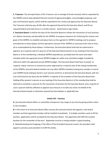**E. Treasurer:** The principal duties of the Treasurer are to manage all funds received, held or expended by the SSPRPA and to keep detailed financial records of approved budgets, annual budget proposals, and year-end financial reports, which shall be submitted to for review and approval by the Executive Board. The Treasurer shall also pay all bills after the approval thereof by the Executive Board, and fill out required federal and state forms in a timely manner. Authorized to sign checks.

**F. Executive Board:** It shall be the duty of the Executive Board to initiate the transaction of such business as it deems necessary and desirable for the SSPRPA, to propose measures for furthering the mission and goals of the SSPRPA, to establish and place items on the agenda for SSPRPA meetings and to propose amendments to these bylaws and the operations manual of the SSPRPA as necessary from time to time, all as contemplated by these bylaws. Furthermore, the Executive Board shall also be authorized to approve, by a majority vote of a quorum of the Executive Board present at any meeting of the Executive Board or of the membership, individual SSPRPA expenditures, provided that the same have been included within the approved annual SSPRPA budget (or within any committee budget included by reference within the approved annual SSPRPA budget. The Executive Board shall have no power to suspend, repeal, overturn or amend any action approved by a majority vote of the voting membership of the SSPRPA. Executive Board members (or any other SSPRPA members) having any custody or control over SSPRPA funds shall give bond in such amount and form as directed by the Executive Board, with the cost of the bond to be borne by the SSPRPA. A majority of the members of the Executive Board then holding office present in person at any meeting of the Executive Board or of the membership shall be deemed to constitute a quorum for the transaction of business by the Executive Board, and a majority of such a quorum shall be sufficient to approve any measure or to take any action on behalf of the Executive Board except as otherwise required by these Bylaws or applicable law.

## **Article VIII – Vacancy**

**A.** Any Executive Board officer or committee chairperson may resign at any time by giving written notice to the President.

**B.** In the event of an Executive Board office vacancy the executive board will appoint a new board member and that appointed member will be installed immediately. If multiple members want to fill the position, applications will be accepted by the Executive Board. The appointee will fulfill the vacated position for the remainder of the term. Appointee must be a voting member in good standing. **C.** Notwithstanding the foregoing, if the office of Past President becomes vacant, the president shall appoint a previous past president to fulfill the duties.

5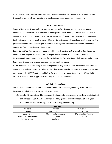D. In the event that the Treasurer experiences a temporary absence, the Past President will assume those duties until the Treasurer returns or the Executive Board appoints a replacement.

# **ARTICLE IX – Removal**

**A.** Any officer of the Executive Board may be removed by two-thirds majority vote of the voting membership of the SSPRPA in attendance at any regular monthly meeting provided that a quorum is present in person, and provided further that written notice of the proposed removal shall be delivered to all voting members not less than seven (7) days prior to the regularly scheduled meeting at which the proposed removal is to be voted upon. Vacancies resulting from such removals shall be filled in the manner set forth in Article VIII of these Bylaws.

**B.** Any Committee Chairperson may be removed from such position by the Executive Board upon any failure to fulfill responsibilities inherent to the position as outlined in the operations manual. Notwithstanding any contrary provision of these Bylaws, the Executive Board shall appoint replacement Committee Chairpersons to vacancies resulting from such removals.

**C.** The membership of any voting or non-voting member may be terminated by the Executive Board for engaging in any illegal, immoral or other conduct that is determined to be inconsistent with the mission or purpose of the SSPRPA, detrimental to the standing, image or reputation of the SSPRPA or that is otherwise deemed to be inappropriate on the part of an SSPRPA member.

# **Article X – Committees**

The Executive Committee will consist of the President, President-Elect, Secretary, Treasurer, Past President, and chairperson of each standing committee.

**A.** Standing Committees: The President shall appoint a chairperson to the following standing committees of SSPRPA no later than the May general monthly meeting of each year. Each chairperson must be a general member in good standing.

| <b>Committees</b>               |                       |                      |
|---------------------------------|-----------------------|----------------------|
| <b>Athletics</b>                | Awards                | Day Camp/Teens       |
| Diversity                       | Early Childhood       | <b>Facilities</b>    |
| Legislative                     | Marketing/Sponsorship | Membership/Publicity |
| <b>Professional Development</b> | School Age            | Social               |
| <b>Special Events</b>           | <b>Students</b>       |                      |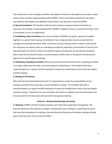The chairperson of each standing committee shall appoint at least one other general, associate, student and/or citizen member in good standing within SSPRPA. These committees shall perform the duties prescribed by these bylaws and additional duties listed in the operation manual of SSPRPA.

**B. Special Committees:** The President shall have the authority to appoint special committees as necessary. Any member in good standing within SSPRPA is eligible to serve on a special committee. Term of committee is on an as needed basis.

**C. Establishing a New Committee:** Any current member of SSPRPA may gather a group of members together as a special interest group. Committees of non-voting members may be created with the oversight of a standing committee. After a minimum of six (6) meetings within a twelve month period, the said group can request status as a standing committee by submitting a formal letter of intent to the Executive Board. The letter of intent must detail the goals and objectives for the desired committee. After review by the Executive Board, a recommendation will be made to the general membership for approval at a monthly general meeting.

**D. Disbanding a Standing Committee:** When the Executive Board determines that a standing committee is no longer viable they will make a recommendation for disbandment. The President will make a recommendation at a regular monthly meeting for the general membership to vote at the next regular monthly meeting.

#### **E. Merging of Committees**

When the Executive Board Determines that it is appropriate to merge the responsibilities of two standing committees they will make a recommendation to merge. The President will make a recommendation at a regular monthly meeting for the general membership to vote at the next regular monthly meeting. If approved, the new committee will submit an updated committee description and list of job tasks for the Operations Manual by the next general meeting.

## **Article XI – Membership Meetings and Voting**

**A. Meetings:** SSPRPA will hold monthly meetings each month from September through May. The Executive Board has the authority to change a meeting date due to holidays or state/national events that may affect attendance at meetings. Executive Board and Executive Committee meetings will take place at the discretion of the current president.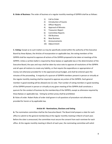#### **B. Order of Business:** The order of business at a regular monthly meeting of SSPRPA shall be as follows:

- 1) Call to Order
- 2) Introduction of Guests
- 3) Officer Reports
- 4) Approval of Minutes
- 5) Treasurers Report
- 6) Committee Reports
- 7) Old Business
- 8) New Business
- 9) Announcements
- 10) Adjournment

**C. Voting**: Except as to such matters as may be specifically vested within the authority of the Executive Board by these Bylaws, the Articles of Incorporation or applicable law, the voting members of the SSPRPA shall be required to approve all actions of the SSPRPA proposed to be taken at meetings of the SSPRPA. Unless a written ballot is required by these bylaws or applicable law or the determination of the Executive Board, the ayes and nays shall be taken by voice vote to approve all resolutions of the SSPRPA and all upon all motions to create any liability, or that require the expenditure or appropriation of money not otherwise provided for in the approved annual budget, and shall be entered upon the minutes of the proceeding. A majority of a quorum of SSPRPA members present in person or virtually at the regular monthly meeting shall be required to approve any action of the SSPRPA. Each general member in good standing will be allowed one (1) vote. That number of voting members in good standing of the SSPRPA present in person or virtually at any given meeting of the SSPRPA shall constitute a quorum for the conduct of business by the membership of the SSPRPA, except as otherwise required by these Bylaws or applicable law. Voting by written proxy shall be prohibited. **D**. Rules of order: Robert Rules of order shall govern in all questions of procedure not otherwise provided for herein or by applicable law.

#### **Article XII - Nominations, Elections and Voting**

**A.** The nomination committee shall be the Executive Board. The Board shall prepare a slate for each office to submit to the general membership at the regular monthly meeting in March of each year. Before the slate is announced, the committee must secure the consent from each nominee for each office. At the regular monthly meeting in March of each year, the nominating committee will solicit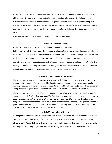additional nominations from the general membership. The election timetable shall be at the discretion of the Board with counting of votes casted to be completed no later than April 30 of each year. **B.** Ballots for each office will be delivered to each general member of SSPRPA in good standing with space for write in votes. The nominee with the highest number of votes for each office category will be declared the winner. In case of ties, the nominating committee will choose the winner by a random draw.

**C.** Installation will occur at the regular monthly meeting in May of each year.

#### **Article XIII - Financial Matters**

**A.** The fiscal year of SSPRPA shall be September 1 to August 31 inclusive.

**B.** No later than July 1 of each year, the Treasurer shall submit an annual proposed operating budget for the upcoming fiscal year to the Executive Board to review. This overall SSPRPA budget shall also include the budgets for the separate committees within the SSPRPA. Each committee shall be responsible for submitting its proposed budget request to the Treasurer on or before June 1 of each year. No later than the regular monthly meeting in September of each year, the Executive Board will submit the proposed annual operating budget to the general membership for review and approval.

#### **Article XIV - Amendments to the Bylaws**

The Bylaws may be amended by a majority of a quorum of SSPRPA members present in person at the regular monthly meeting following a notification of proposed amendments at the previous regular monthly meeting. Each general member in good standing will be allowed one (1) vote. That number of voting members in good standing of the SSPRPA present in person shall constitute a quorum

*The Bylaws may also be amended by a majority of a quorum of SSPRPA members voting electronically during the annual elections following a notification of proposed amendments to each general member in good standing via email, fax, or other electronic means at least two (2) weeks prior to voting or by notification of proposed amendments at the previous regular monthly meeting. Each general member in good standing will be allowed one (1) vote. That number of voting members in good standing of the SSPRPA participating in the election shall constitute a quorum.* 

### **Article XV - Limitation of Liability**

Nothing herein shall constitute members of SSPRPA as partners for any purpose. No member or officer of this organization shall be liable for the acts or failure to act on the part of any other member or officer of SSPRPA, nor shall any of the members or officers be liable for their acts or failure to act under these Bylaws, excepting acts, or omissions to act, arising out of willful or wanton misfeasance.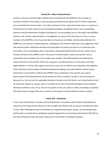#### **Article XVI - officer Indemnification**

Except as may be insured through a liability policy maintained by the SSPRPA or the member or members involved in the matter, to the full extent permitted by the Illinois Not-For-Profit Corporation Act as amended from time to time, or by other provisions of law, each person who was or is a party or is threatened to be made a party to any threatened, pending or completed action, suit or proceeding, wherever and by whomsoever brought (including any such proceeding, by or in the right of the SSPRPA), whether civil, criminal, administrative or investigative, by reason of the fact that he or she is or was a member of the SSPRPA or of its Executive Board or Executive committee, shall be indemnified by the SSPRPA for such person's related expenses, including but not limited to attorneys' fees, judgments, fines and amounts paid in settlement actually and reasonably incurred by such person in connection with such action, suit or proceeding, where such person reasonably believed that his or her conduct was in the best interests of the SSPRPA, and, in the case of criminal matters, where such person had no reasonable cause to believe his or her conduct was unlawful. The indemnification provided by this Article shall inure to the benefit of the heirs, executors and administrators of such person and shall apply whether or not the claim against such person arises out of matters occurring before the adoption of this provision of these bylaws. Notwithstanding the foregoing, any indemnification above (unless ordered by a court) shall be made by the SSPRPA only as authorized in the specific case, upon a determination that indemnification of the present or former member is proper in the circumstances because he or she has met the applicable standard of conduct set forth herein. Such determination shall be made with respect to a person who is a member at the time of the determination by the members otherwise entitled to vote, if any, who are not parties to the suit, action or other proceeding in question. This Article shall not apply if the act or omission of the person involved willful or wanton conduct.

## **Article XVII - Dissolution**

In the event of dissolution, all assets shall be distributed in accordance with the plan of distribution as required by the Illinois General Not-For-Profit Act (805 ILCS 105/112.16), as may be amended from time to time. After following the plan of distribution as required by the above statute, any remaining assets shall be paid or transferred to qualifying nonprofit organizations in accordance with Section 501(c)(3) of the Internal Revenue Code. No assets shall inure to the benefit of individual members.

10